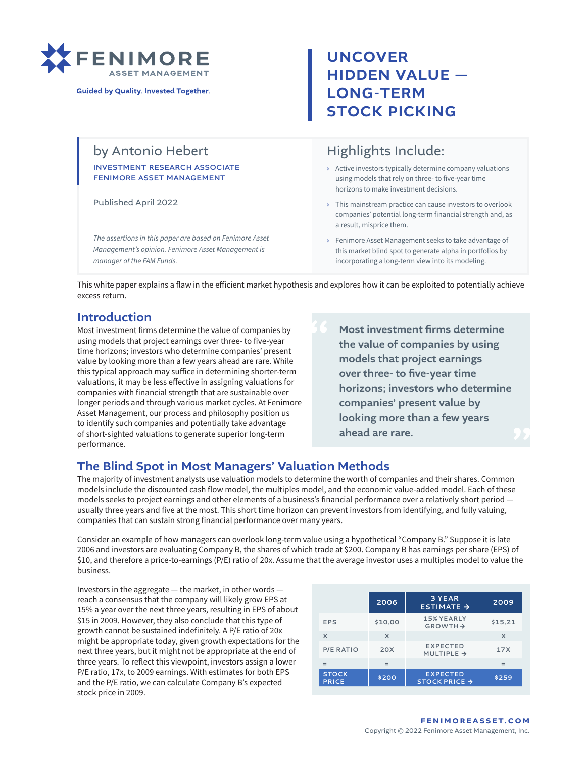

**Guided by Quality. Invested Together.** 

## by Antonio Hebert

#### investment research associate fenimore asset management

Published April 2022

*The assertions in this paper are based on Fenimore Asset Management's opinion. Fenimore Asset Management is manager of the FAM Funds.*

# UNCOVER HIDDEN VALUE — LONG-TERM STOCK PICKING

## Highlights Include:

- **›** Active investors typically determine company valuations using models that rely on three- to five-year time horizons to make investment decisions.
- **›** This mainstream practice can cause investors to overlook companies' potential long-term financial strength and, as a result, misprice them.
- **›** Fenimore Asset Management seeks to take advantage of this market blind spot to generate alpha in portfolios by incorporating a long-term view into its modeling.

This white paper explains a flaw in the efficient market hypothesis and explores how it can be exploited to potentially achieve excess return.

### Introduction

Most investment firms determine the value of companies by using models that project earnings over three- to five-year time horizons; investors who determine companies' present value by looking more than a few years ahead are rare. While this typical approach may suffice in determining shorter-term valuations, it may be less effective in assigning valuations for companies with financial strength that are sustainable over longer periods and through various market cycles. At Fenimore Asset Management, our process and philosophy position us to identify such companies and potentially take advantage of short-sighted valuations to generate superior long-term performance.

Most investment firms determine the value of companies by using models that project earnings over three- to five-year time horizons; investors who determine companies' present value by looking more than a few years ahead are rare.

### The Blind Spot in Most Managers' Valuation Methods

The majority of investment analysts use valuation models to determine the worth of companies and their shares. Common models include the discounted cash flow model, the multiples model, and the economic value-added model. Each of these models seeks to project earnings and other elements of a business's financial performance over a relatively short period usually three years and five at the most. This short time horizon can prevent investors from identifying, and fully valuing, companies that can sustain strong financial performance over many years.

Consider an example of how managers can overlook long-term value using a hypothetical "Company B." Suppose it is late 2006 and investors are evaluating Company B, the shares of which trade at \$200. Company B has earnings per share (EPS) of \$10, and therefore a price-to-earnings (P/E) ratio of 20x. Assume that the average investor uses a multiples model to value the business.

Investors in the aggregate — the market, in other words reach a consensus that the company will likely grow EPS at 15% a year over the next three years, resulting in EPS of about \$15 in 2009. However, they also conclude that this type of growth cannot be sustained indefinitely. A P/E ratio of 20x might be appropriate today, given growth expectations for the next three years, but it might not be appropriate at the end of three years. To reflect this viewpoint, investors assign a lower P/E ratio, 17x, to 2009 earnings. With estimates for both EPS and the P/E ratio, we can calculate Company B's expected stock price in 2009.

|                              | 2006    | 3 YEAR<br>$ESTIMATE \rightarrow$             | 2009    |
|------------------------------|---------|----------------------------------------------|---------|
| EPS                          | \$10.00 | <b>15% YEARLY</b><br>$GROWTH \rightarrow$    | \$15.21 |
| X                            | X       |                                              | X       |
| <b>P/E RATIO</b>             | 20X     | <b>EXPECTED</b><br>MULTIPLE $\rightarrow$    | 17X     |
|                              |         |                                              |         |
| <b>STOCK</b><br><b>PRICE</b> | \$200   | <b>EXPECTED</b><br>STOCK PRICE $\rightarrow$ | \$259   |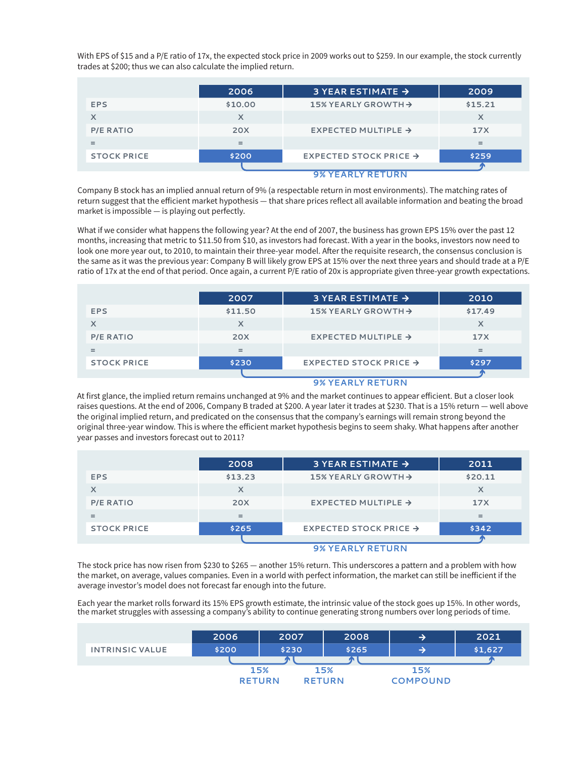With EPS of \$15 and a P/E ratio of 17x, the expected stock price in 2009 works out to \$259. In our example, the stock currently trades at \$200; thus we can also calculate the implied return.

|                    | 2006    | 3 YEAR ESTIMATE $\rightarrow$      | 2009    |  |  |
|--------------------|---------|------------------------------------|---------|--|--|
| EPS                | \$10.00 | 15% YEARLY GROWTH $\rightarrow$    | \$15.21 |  |  |
| X                  | x       |                                    | x       |  |  |
| <b>P/E RATIO</b>   | 20X     | EXPECTED MULTIPLE $\rightarrow$    | 17X     |  |  |
| $=$                | $=$     |                                    | $=$     |  |  |
| <b>STOCK PRICE</b> | \$200   | EXPECTED STOCK PRICE $\rightarrow$ | \$259   |  |  |
|                    |         |                                    |         |  |  |
|                    |         | <b>9% YEARLY RETURN</b>            |         |  |  |

Company B stock has an implied annual return of 9% (a respectable return in most environments). The matching rates of return suggest that the efficient market hypothesis — that share prices reflect all available information and beating the broad market is impossible — is playing out perfectly.

What if we consider what happens the following year? At the end of 2007, the business has grown EPS 15% over the past 12 months, increasing that metric to \$11.50 from \$10, as investors had forecast. With a year in the books, investors now need to look one more year out, to 2010, to maintain their three-year model. After the requisite research, the consensus conclusion is the same as it was the previous year: Company B will likely grow EPS at 15% over the next three years and should trade at a P/E ratio of 17x at the end of that period. Once again, a current P/E ratio of 20x is appropriate given three-year growth expectations.

|                    | 2007       | 3 YEAR ESTIMATE $\rightarrow$      | 2010    |
|--------------------|------------|------------------------------------|---------|
| <b>EPS</b>         | \$11.50    | 15% YEARLY GROWTH $\rightarrow$    | \$17.49 |
| X                  |            |                                    |         |
| <b>P/E RATIO</b>   | <b>20X</b> | EXPECTED MULTIPLE $\rightarrow$    | 17X     |
| $=$                | $=$        |                                    | $=$     |
| <b>STOCK PRICE</b> | \$230      | EXPECTED STOCK PRICE $\rightarrow$ | \$297   |
|                    |            |                                    |         |

#### **9% YEARLY RETURN**

At first glance, the implied return remains unchanged at 9% and the market continues to appear efficient. But a closer look raises questions. At the end of 2006, Company B traded at \$200. A year later it trades at \$230. That is a 15% return — well above the original implied return, and predicated on the consensus that the company's earnings will remain strong beyond the original three-year window. This is where the efficient market hypothesis begins to seem shaky. What happens after another year passes and investors forecast out to 2011?

|                    | 2008                                                                                                                                                                                                                                                                                                                                                                                                                                                                                  | 3 YEAR ESTIMATE $\rightarrow$      | 2011    |  |
|--------------------|---------------------------------------------------------------------------------------------------------------------------------------------------------------------------------------------------------------------------------------------------------------------------------------------------------------------------------------------------------------------------------------------------------------------------------------------------------------------------------------|------------------------------------|---------|--|
| <b>EPS</b>         | \$13.23                                                                                                                                                                                                                                                                                                                                                                                                                                                                               | 15% YEARLY GROWTH $\rightarrow$    | \$20.11 |  |
| X                  | X                                                                                                                                                                                                                                                                                                                                                                                                                                                                                     |                                    |         |  |
| <b>P/E RATIO</b>   | 20X                                                                                                                                                                                                                                                                                                                                                                                                                                                                                   | EXPECTED MULTIPLE $\rightarrow$    | 17X     |  |
| $=$                | $=$                                                                                                                                                                                                                                                                                                                                                                                                                                                                                   |                                    |         |  |
| <b>STOCK PRICE</b> | \$265                                                                                                                                                                                                                                                                                                                                                                                                                                                                                 | EXPECTED STOCK PRICE $\rightarrow$ | \$342   |  |
|                    |                                                                                                                                                                                                                                                                                                                                                                                                                                                                                       |                                    |         |  |
|                    | $\begin{array}{c} \bigcap_{i=1}^n A_i \cup A_i = A_i \cup A_i = A_i \cup A_i = A_i \cup A_i = A_i \cup A_i = A_i \cup A_i = A_i \cup A_i = A_i \cup A_i = A_i \cup A_i = A_i \cup A_i = A_i \cup A_i = A_i \cup A_i = A_i \cup A_i = A_i \cup A_i = A_i \cup A_i = A_i \cup A_i = A_i \cup A_i = A_i \cup A_i = A_i \cup A_i = A_i \cup A_i = A_i \cup A_i = A_i \cup A_i = A_i \cup A_i = A_i \cup A_i = A_i \cup A_i = A_i \cup A_i = A_i \cup A_i = A_i \cup A_i = A_i \cup A_i =$ |                                    |         |  |

#### **9% YEARLY RETURN**

The stock price has now risen from \$230 to \$265 — another 15% return. This underscores a pattern and a problem with how the market, on average, values companies. Even in a world with perfect information, the market can still be inefficient if the average investor's model does not forecast far enough into the future.

Each year the market rolls forward its 15% EPS growth estimate, the intrinsic value of the stock goes up 15%. In other words, the market struggles with assessing a company's ability to continue generating strong numbers over long periods of time.

|                        | 2006          | 2007  | 2008          | ⋺               | 2021    |
|------------------------|---------------|-------|---------------|-----------------|---------|
| <b>INTRINSIC VALUE</b> | \$200         | \$230 | \$265         |                 | \$1,627 |
|                        |               |       |               |                 |         |
|                        |               | 15%   | 15%           | 15%             |         |
|                        | <b>RETURN</b> |       | <b>RETURN</b> | <b>COMPOUND</b> |         |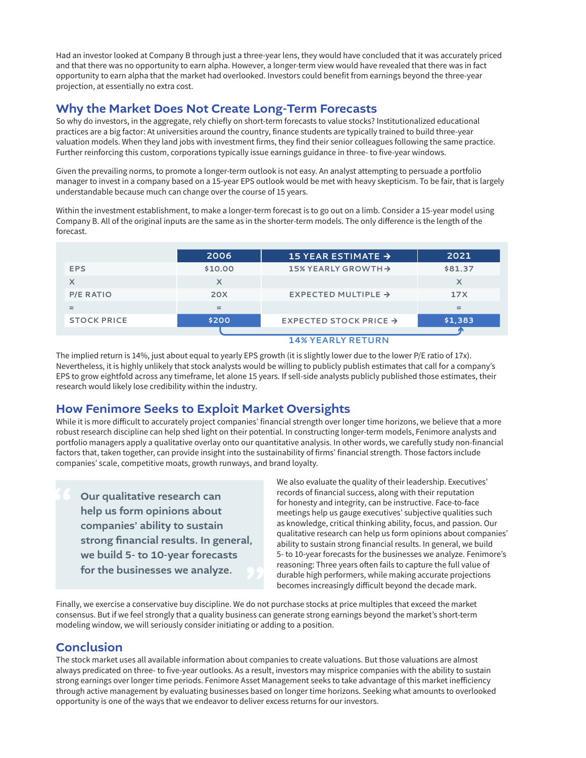Had an investor looked at Company B through just a three-year lens, they would have concluded that it was accurately priced and that there was no opportunity to earn alpha. However, a longer-term view would have revealed that there was in fact opportunity to earn alpha that the market had overlooked. Investors could benefit from earnings beyond the three-year projection, at essentially no extra cost.

### Why the Market Does Not Create Long-Term Forecasts

So why do investors, in the aggregate, rely chiefly on short-term forecasts to value stocks? Institutionalized educational practices are a big factor: At universities around the country, finance students are typically trained to build three-year valuation models. When they land jobs with investment firms, they find their senior colleagues following the same practice. Further reinforcing this custom, corporations typically issue earnings guidance in three- to five-year windows.

Given the prevailing norms, to promote a longer-term outlook is not easy. An analyst attempting to persuade a portfolio manager to invest in a company based on a 15-year EPS outlook would be met with heavy skepticism. To be fair, that is largely understandable because much can change over the course of 15 years.

Within the investment establishment, to make a longer-term forecast is to go out on a limb. Consider a 15-year model using Company B. All of the original inputs are the same as in the shorter-term models. The only difference is the length of the forecast.

|                    | 2006       | 15 YEAR ESTIMATE $\rightarrow$     | 2021    |  |  |
|--------------------|------------|------------------------------------|---------|--|--|
| <b>EPS</b>         | \$10.00    | 15% YEARLY GROWTH $\rightarrow$    | \$81.37 |  |  |
| X                  | $\times$   |                                    | X       |  |  |
| <b>P/E RATIO</b>   | <b>20X</b> | EXPECTED MULTIPLE $\rightarrow$    | 17X     |  |  |
| =                  | $=$        |                                    |         |  |  |
| <b>STOCK PRICE</b> | \$200      | EXPECTED STOCK PRICE $\rightarrow$ | \$1,383 |  |  |
|                    |            |                                    |         |  |  |
|                    |            | <b>14% YEARLY RETURN</b>           |         |  |  |

The implied return is 14%, just about equal to yearly EPS growth (it is slightly lower due to the lower P/E ratio of 17x). Nevertheless, it is highly unlikely that stock analysts would be willing to publicly publish estimates that call for a company's EPS to grow eightfold across any timeframe, let alone 15 years. If sell-side analysts publicly published those estimates, their research would likely lose credibility within the industry.

### How Fenimore Seeks to Exploit Market Oversights

While it is more difficult to accurately project companies' financial strength over longer time horizons, we believe that a more robust research discipline can help shed light on their potential. In constructing longer-term models, Fenimore analysts and portfolio managers apply a qualitative overlay onto our quantitative analysis. In other words, we carefully study non-financial factors that, taken together, can provide insight into the sustainability of firms' financial strength. Those factors include companies' scale, competitive moats, growth runways, and brand loyalty.

Our qualitative research can help us form opinions about companies' ability to sustain strong financial results. In general, we build 5- to 10-year forecasts for the businesses we analyze.

We also evaluate the quality of their leadership. Executives' records of financial success, along with their reputation for honesty and integrity, can be instructive. Face-to-face meetings help us gauge executives' subjective qualities such as knowledge, critical thinking ability, focus, and passion. Our qualitative research can help us form opinions about companies' ability to sustain strong financial results. In general, we build 5- to 10-year forecasts for the businesses we analyze. Fenimore's reasoning: Three years often fails to capture the full value of durable high performers, while making accurate projections becomes increasingly difficult beyond the decade mark. for the businesses we analyze.<br>durable high performers, while making accurate projection durable high performers, while making accurate projection<br>Finally, we exercise a conservative buy discipline. We do not purchase stoc

consensus. But if we feel strongly that a quality business can generate strong earnings beyond the market's short-term modeling window, we will seriously consider initiating or adding to a position.

### Conclusion

The stock market uses all available information about companies to create valuations. But those valuations are almost always predicated on three- to five-year outlooks. As a result, investors may misprice companies with the ability to sustain strong earnings over longer time periods. Fenimore Asset Management seeks to take advantage of this market inefficiency through active management by evaluating businesses based on longer time horizons. Seeking what amounts to overlooked opportunity is one of the ways that we endeavor to deliver excess returns for our investors.